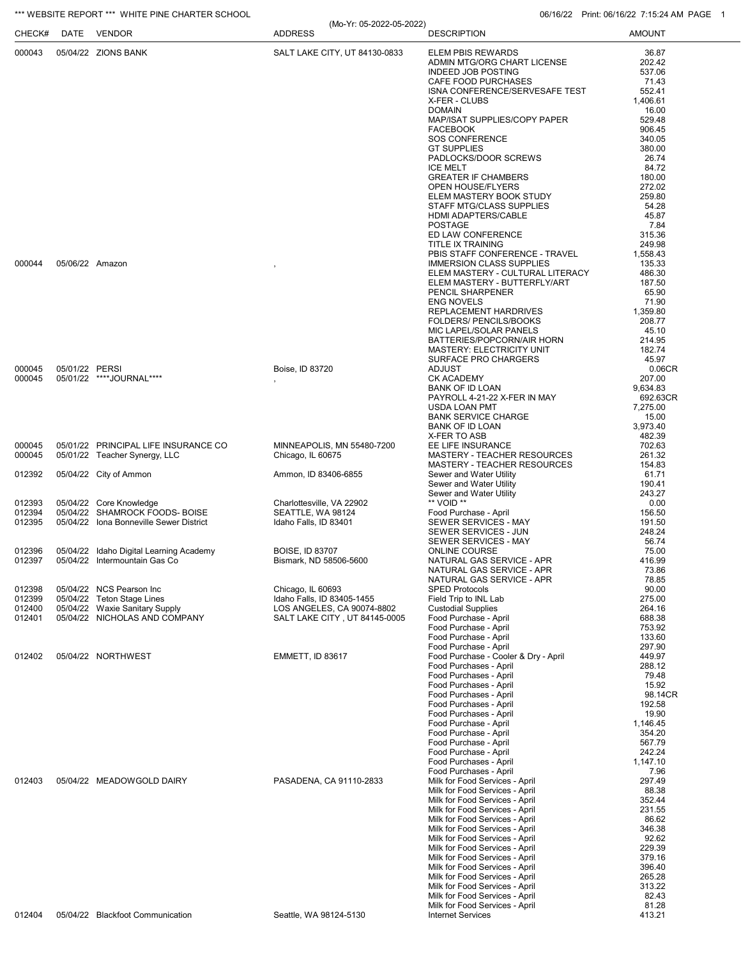## \*\*\* WEBSITE REPORT \*\*\* WHITE PINE CHARTER SCHOOL **CHARTER SCHOOL** 06/16/22 Print: 06/16/22 Print: 06/16/22 7:15:24 AM PAGE 1

(Mo-Yr: 05-2022-05-2022)

| CHECK#           | DATE            | VENDOR                                                          | (MO-YT: U5-ZUZZ-U5-ZUZZ)<br><b>ADDRESS</b>                  | <b>DESCRIPTION</b>                                                | <b>AMOUNT</b>        |
|------------------|-----------------|-----------------------------------------------------------------|-------------------------------------------------------------|-------------------------------------------------------------------|----------------------|
| 000043           |                 | 05/04/22 ZIONS BANK                                             | SALT LAKE CITY, UT 84130-0833                               | ELEM PBIS REWARDS                                                 | 36.87                |
|                  |                 |                                                                 |                                                             | ADMIN MTG/ORG CHART LICENSE                                       | 202.42               |
|                  |                 |                                                                 |                                                             | <b>INDEED JOB POSTING</b><br>CAFE FOOD PURCHASES                  | 537.06<br>71.43      |
|                  |                 |                                                                 |                                                             | ISNA CONFERENCE/SERVESAFE TEST                                    | 552.41               |
|                  |                 |                                                                 |                                                             | X-FER - CLUBS                                                     | 1,406.61             |
|                  |                 |                                                                 |                                                             | <b>DOMAIN</b>                                                     | 16.00                |
|                  |                 |                                                                 |                                                             | MAP/ISAT SUPPLIES/COPY PAPER<br><b>FACEBOOK</b>                   | 529.48               |
|                  |                 |                                                                 |                                                             | <b>SOS CONFERENCE</b>                                             | 906.45<br>340.05     |
|                  |                 |                                                                 |                                                             | <b>GT SUPPLIES</b>                                                | 380.00               |
|                  |                 |                                                                 |                                                             | PADLOCKS/DOOR SCREWS                                              | 26.74                |
|                  |                 |                                                                 |                                                             | <b>ICE MELT</b><br><b>GREATER IF CHAMBERS</b>                     | 84.72<br>180.00      |
|                  |                 |                                                                 |                                                             | <b>OPEN HOUSE/FLYERS</b>                                          | 272.02               |
|                  |                 |                                                                 |                                                             | ELEM MASTERY BOOK STUDY                                           | 259.80               |
|                  |                 |                                                                 |                                                             | STAFF MTG/CLASS SUPPLIES                                          | 54.28                |
|                  |                 |                                                                 |                                                             | HDMI ADAPTERS/CABLE<br><b>POSTAGE</b>                             | 45.87<br>7.84        |
|                  |                 |                                                                 |                                                             | ED LAW CONFERENCE                                                 | 315.36               |
|                  |                 |                                                                 |                                                             | <b>TITLE IX TRAINING</b>                                          | 249.98               |
| 000044           | 05/06/22 Amazon |                                                                 |                                                             | PBIS STAFF CONFERENCE - TRAVEL<br><b>IMMERSION CLASS SUPPLIES</b> | 1,558.43<br>135.33   |
|                  |                 |                                                                 |                                                             | ELEM MASTERY - CULTURAL LITERACY                                  | 486.30               |
|                  |                 |                                                                 |                                                             | ELEM MASTERY - BUTTERFLY/ART                                      | 187.50               |
|                  |                 |                                                                 |                                                             | PENCIL SHARPENER                                                  | 65.90                |
|                  |                 |                                                                 |                                                             | <b>ENG NOVELS</b><br>REPLACEMENT HARDRIVES                        | 71.90<br>1,359.80    |
|                  |                 |                                                                 |                                                             | FOLDERS/ PENCILS/BOOKS                                            | 208.77               |
|                  |                 |                                                                 |                                                             | MIC LAPEL/SOLAR PANELS                                            | 45.10                |
|                  |                 |                                                                 |                                                             | BATTERIES/POPCORN/AIR HORN                                        | 214.95               |
|                  |                 |                                                                 |                                                             | <b>MASTERY: ELECTRICITY UNIT</b><br>SURFACE PRO CHARGERS          | 182.74<br>45.97      |
| 000045           | 05/01/22 PERSI  |                                                                 | Boise, ID 83720                                             | <b>ADJUST</b>                                                     | 0.06CR               |
| 000045           |                 | 05/01/22 ****JOURNAL****                                        |                                                             | <b>CK ACADEMY</b>                                                 | 207.00               |
|                  |                 |                                                                 |                                                             | <b>BANK OF ID LOAN</b><br>PAYROLL 4-21-22 X-FER IN MAY            | 9,634.83<br>692.63CR |
|                  |                 |                                                                 |                                                             | USDA LOAN PMT                                                     | 7,275.00             |
|                  |                 |                                                                 |                                                             | <b>BANK SERVICE CHARGE</b>                                        | 15.00                |
|                  |                 |                                                                 |                                                             | <b>BANK OF ID LOAN</b><br>X-FER TO ASB                            | 3,973.40<br>482.39   |
| 000045           |                 | 05/01/22 PRINCIPAL LIFE INSURANCE CO                            | MINNEAPOLIS, MN 55480-7200                                  | EE LIFE INSURANCE                                                 | 702.63               |
| 000045           |                 | 05/01/22 Teacher Synergy, LLC                                   | Chicago, IL 60675                                           | MASTERY - TEACHER RESOURCES                                       | 261.32               |
|                  |                 |                                                                 |                                                             | MASTERY - TEACHER RESOURCES                                       | 154.83               |
| 012392           |                 | 05/04/22 City of Ammon                                          | Ammon, ID 83406-6855                                        | Sewer and Water Utility<br>Sewer and Water Utility                | 61.71<br>190.41      |
|                  |                 |                                                                 |                                                             | Sewer and Water Utility                                           | 243.27               |
| 012393           |                 | 05/04/22 Core Knowledge                                         | Charlottesville, VA 22902                                   | ** VOID **                                                        | 0.00                 |
| 012394           |                 | 05/04/22 SHAMROCK FOODS- BOISE                                  | SEATTLE, WA 98124                                           | Food Purchase - April                                             | 156.50               |
| 012395           |                 | 05/04/22 Iona Bonneville Sewer District                         | Idaho Falls, ID 83401                                       | SEWER SERVICES - MAY<br><b>SEWER SERVICES - JUN</b>               | 191.50<br>248.24     |
|                  |                 |                                                                 |                                                             | SEWER SERVICES - MAY                                              | 56.74                |
| 012396           |                 | 05/04/22 Idaho Digital Learning Academy                         | <b>BOISE, ID 83707</b>                                      | <b>ONLINE COURSE</b>                                              | 75.00                |
| 012397           |                 | 05/04/22 Intermountain Gas Co                                   | Bismark, ND 58506-5600                                      | NATURAL GAS SERVICE - APR<br>NATURAL GAS SERVICE - APR            | 416.99<br>73.86      |
|                  |                 |                                                                 |                                                             | NATURAL GAS SERVICE - APR                                         | 78.85                |
| 012398           |                 | 05/04/22 NCS Pearson Inc                                        | Chicago, IL 60693                                           | <b>SPED Protocols</b>                                             | 90.00                |
| 012399           |                 | 05/04/22 Teton Stage Lines                                      | Idaho Falls, ID 83405-1455                                  | Field Trip to INL Lab<br><b>Custodial Supplies</b>                | 275.00               |
| 012400<br>012401 |                 | 05/04/22 Waxie Sanitary Supply<br>05/04/22 NICHOLAS AND COMPANY | LOS ANGELES, CA 90074-8802<br>SALT LAKE CITY, UT 84145-0005 | Food Purchase - April                                             | 264.16<br>688.38     |
|                  |                 |                                                                 |                                                             | Food Purchase - April                                             | 753.92               |
|                  |                 |                                                                 |                                                             | Food Purchase - April                                             | 133.60               |
| 012402           |                 | 05/04/22 NORTHWEST                                              | <b>EMMETT, ID 83617</b>                                     | Food Purchase - April<br>Food Purchase - Cooler & Dry - April     | 297.90<br>449.97     |
|                  |                 |                                                                 |                                                             | Food Purchases - April                                            | 288.12               |
|                  |                 |                                                                 |                                                             | Food Purchases - April                                            | 79.48                |
|                  |                 |                                                                 |                                                             | Food Purchases - April                                            | 15.92                |
|                  |                 |                                                                 |                                                             | Food Purchases - April<br>Food Purchases - April                  | 98.14CR<br>192.58    |
|                  |                 |                                                                 |                                                             | Food Purchases - April                                            | 19.90                |
|                  |                 |                                                                 |                                                             | Food Purchase - April                                             | 1,146.45             |
|                  |                 |                                                                 |                                                             | Food Purchase - April<br>Food Purchase - April                    | 354.20<br>567.79     |
|                  |                 |                                                                 |                                                             | Food Purchase - April                                             | 242.24               |
|                  |                 |                                                                 |                                                             | Food Purchases - April                                            | 1,147.10             |
|                  |                 |                                                                 |                                                             | Food Purchases - April                                            | 7.96                 |
| 012403           |                 | 05/04/22 MEADOWGOLD DAIRY                                       | PASADENA, CA 91110-2833                                     | Milk for Food Services - April<br>Milk for Food Services - April  | 297.49<br>88.38      |
|                  |                 |                                                                 |                                                             | Milk for Food Services - April                                    | 352.44               |
|                  |                 |                                                                 |                                                             | Milk for Food Services - April                                    | 231.55               |
|                  |                 |                                                                 |                                                             | Milk for Food Services - April<br>Milk for Food Services - April  | 86.62<br>346.38      |
|                  |                 |                                                                 |                                                             | Milk for Food Services - April                                    | 92.62                |
|                  |                 |                                                                 |                                                             | Milk for Food Services - April                                    | 229.39               |
|                  |                 |                                                                 |                                                             | Milk for Food Services - April                                    | 379.16               |
|                  |                 |                                                                 |                                                             | Milk for Food Services - April<br>Milk for Food Services - April  | 396.40<br>265.28     |
|                  |                 |                                                                 |                                                             | Milk for Food Services - April                                    | 313.22               |
|                  |                 |                                                                 |                                                             | Milk for Food Services - April                                    | 82.43                |
| 012404           |                 | 05/04/22 Blackfoot Communication                                | Seattle, WA 98124-5130                                      | Milk for Food Services - April<br><b>Internet Services</b>        | 81.28<br>413.21      |
|                  |                 |                                                                 |                                                             |                                                                   |                      |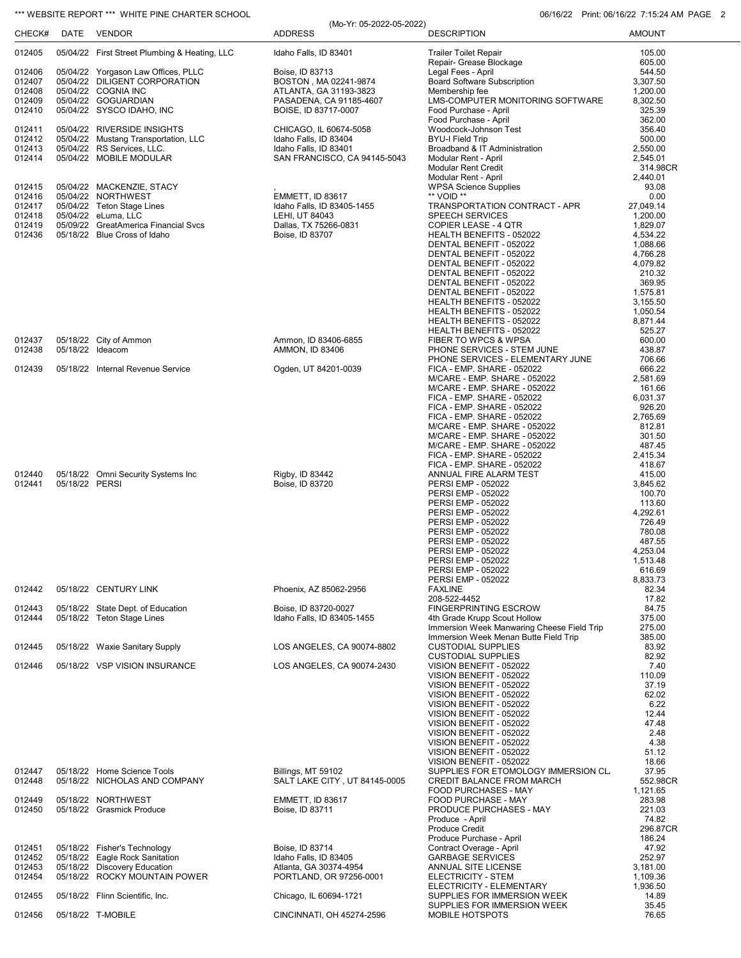### \*\*\* WEBSITE REPORT \*\*\* WHITE PINE CHARTER SCHOOL **CHARTER SCHOOL** 06/16/22 Print: 06/16/22 7:15:24 AM PAGE 2

|                  |                |                                                                      | (Mo-Yr: 05-2022-05-2022)                        |                                                                            |                       |
|------------------|----------------|----------------------------------------------------------------------|-------------------------------------------------|----------------------------------------------------------------------------|-----------------------|
| CHECK#           |                | DATE VENDOR                                                          | <b>ADDRESS</b>                                  | <b>DESCRIPTION</b>                                                         | <b>AMOUNT</b>         |
| 012405           |                | 05/04/22 First Street Plumbing & Heating, LLC                        | Idaho Falls, ID 83401                           | <b>Trailer Toilet Repair</b>                                               | 105.00                |
|                  |                |                                                                      |                                                 | Repair- Grease Blockage                                                    | 605.00                |
| 012406<br>012407 |                | 05/04/22 Yorgason Law Offices, PLLC<br>05/04/22 DILIGENT CORPORATION | Boise, ID 83713<br>BOSTON, MA 02241-9874        | Legal Fees - April<br><b>Board Software Subscription</b>                   | 544.50<br>3,307.50    |
| 012408           |                | 05/04/22 COGNIA INC                                                  | ATLANTA, GA 31193-3823                          | Membership fee                                                             | 1,200.00              |
| 012409<br>012410 |                | 05/04/22 GOGUARDIAN<br>05/04/22 SYSCO IDAHO, INC                     | PASADENA, CA 91185-4607<br>BOISE, ID 83717-0007 | LMS-COMPUTER MONITORING SOFTWARE<br>Food Purchase - April                  | 8,302.50<br>325.39    |
|                  |                |                                                                      |                                                 | Food Purchase - April                                                      | 362.00                |
| 012411           |                | 05/04/22 RIVERSIDE INSIGHTS                                          | CHICAGO, IL 60674-5058                          | Woodcock-Johnson Test                                                      | 356.40                |
| 012412<br>012413 |                | 05/04/22 Mustang Transportation, LLC<br>05/04/22 RS Services, LLC.   | Idaho Falls, ID 83404<br>Idaho Falls, ID 83401  | <b>BYU-I Field Trip</b><br>Broadband & IT Administration                   | 500.00<br>2,550.00    |
| 012414           |                | 05/04/22 MOBILE MODULAR                                              | SAN FRANCISCO, CA 94145-5043                    | Modular Rent - April                                                       | 2,545.01              |
|                  |                |                                                                      |                                                 | <b>Modular Rent Credit</b>                                                 | 314.98CR              |
| 012415           |                | 05/04/22 MACKENZIE, STACY                                            |                                                 | Modular Rent - April<br><b>WPSA Science Supplies</b>                       | 2,440.01<br>93.08     |
| 012416           |                | 05/04/22 NORTHWEST                                                   | <b>EMMETT, ID 83617</b>                         | ** VOID **                                                                 | 0.00                  |
| 012417<br>012418 |                | 05/04/22 Teton Stage Lines<br>05/04/22 eLuma, LLC                    | Idaho Falls, ID 83405-1455<br>LEHI, UT 84043    | TRANSPORTATION CONTRACT - APR<br><b>SPEECH SERVICES</b>                    | 27,049.14<br>1,200.00 |
| 012419           |                | 05/09/22 GreatAmerica Financial Svcs                                 | Dallas, TX 75266-0831                           | COPIER LEASE - 4 QTR                                                       | 1,829.07              |
| 012436           |                | 05/18/22 Blue Cross of Idaho                                         | Boise, ID 83707                                 | HEALTH BENEFITS - 052022                                                   | 4,534.22              |
|                  |                |                                                                      |                                                 | DENTAL BENEFIT - 052022<br>DENTAL BENEFIT - 052022                         | 1,088.66<br>4,766.28  |
|                  |                |                                                                      |                                                 | DENTAL BENEFIT - 052022                                                    | 4,079.82              |
|                  |                |                                                                      |                                                 | DENTAL BENEFIT - 052022                                                    | 210.32                |
|                  |                |                                                                      |                                                 | DENTAL BENEFIT - 052022<br>DENTAL BENEFIT - 052022                         | 369.95<br>1,575.81    |
|                  |                |                                                                      |                                                 | HEALTH BENEFITS - 052022                                                   | 3,155.50              |
|                  |                |                                                                      |                                                 | HEALTH BENEFITS - 052022<br>HEALTH BENEFITS - 052022                       | 1,050.54<br>8,871.44  |
|                  |                |                                                                      |                                                 | HEALTH BENEFITS - 052022                                                   | 525.27                |
| 012437           |                | 05/18/22 City of Ammon                                               | Ammon, ID 83406-6855                            | FIBER TO WPCS & WPSA                                                       | 600.00                |
| 012438           |                | 05/18/22 Ideacom                                                     | <b>AMMON, ID 83406</b>                          | PHONE SERVICES - STEM JUNE<br>PHONE SERVICES - ELEMENTARY JUNE             | 438.87<br>706.66      |
| 012439           |                | 05/18/22 Internal Revenue Service                                    | Ogden, UT 84201-0039                            | FICA - EMP. SHARE - 052022                                                 | 666.22                |
|                  |                |                                                                      |                                                 | M/CARE - EMP. SHARE - 052022                                               | 2,581.69              |
|                  |                |                                                                      |                                                 | M/CARE - EMP. SHARE - 052022<br>FICA - EMP. SHARE - 052022                 | 161.66<br>6,031.37    |
|                  |                |                                                                      |                                                 | FICA - EMP. SHARE - 052022                                                 | 926.20                |
|                  |                |                                                                      |                                                 | FICA - EMP. SHARE - 052022<br>M/CARE - EMP. SHARE - 052022                 | 2,765.69<br>812.81    |
|                  |                |                                                                      |                                                 | M/CARE - EMP. SHARE - 052022                                               | 301.50                |
|                  |                |                                                                      |                                                 | M/CARE - EMP. SHARE - 052022                                               | 487.45                |
|                  |                |                                                                      |                                                 | FICA - EMP. SHARE - 052022<br>FICA - EMP. SHARE - 052022                   | 2,415.34<br>418.67    |
| 012440           |                | 05/18/22 Omni Security Systems Inc                                   | Rigby, ID 83442                                 | ANNUAL FIRE ALARM TEST                                                     | 415.00                |
| 012441           | 05/18/22 PERSI |                                                                      | Boise, ID 83720                                 | PERSI EMP - 052022<br><b>PERSI EMP - 052022</b>                            | 3,845.62<br>100.70    |
|                  |                |                                                                      |                                                 | <b>PERSI EMP - 052022</b>                                                  | 113.60                |
|                  |                |                                                                      |                                                 | PERSI EMP - 052022                                                         | 4,292.61              |
|                  |                |                                                                      |                                                 | PERSI EMP - 052022<br><b>PERSI EMP - 052022</b>                            | 726.49<br>780.08      |
|                  |                |                                                                      |                                                 | PERSI EMP - 052022                                                         | 487.55                |
|                  |                |                                                                      |                                                 | <b>PERSI EMP - 052022</b><br>PERSI EMP - 052022                            | 4.253.04<br>1,513.48  |
|                  |                |                                                                      |                                                 | <b>PERSI EMP - 052022</b>                                                  | 616.69                |
|                  |                |                                                                      |                                                 | PERSI EMP - 052022                                                         | 8,833.73              |
| 012442           |                | 05/18/22 CENTURY LINK                                                | Phoenix, AZ 85062-2956                          | <b>FAXLINE</b><br>208-522-4452                                             | 82.34<br>17.82        |
| 012443           |                | 05/18/22 State Dept. of Education                                    | Boise, ID 83720-0027                            | <b>FINGERPRINTING ESCROW</b>                                               | 84.75                 |
| 012444           |                | 05/18/22 Teton Stage Lines                                           | Idaho Falls, ID 83405-1455                      | 4th Grade Krupp Scout Hollow<br>Immersion Week Manwaring Cheese Field Trip | 375.00<br>275.00      |
|                  |                |                                                                      |                                                 | Immersion Week Menan Butte Field Trip                                      | 385.00                |
| 012445           |                | 05/18/22 Waxie Sanitary Supply                                       | LOS ANGELES, CA 90074-8802                      | <b>CUSTODIAL SUPPLIES</b>                                                  | 83.92                 |
| 012446           |                | 05/18/22 VSP VISION INSURANCE                                        | LOS ANGELES, CA 90074-2430                      | <b>CUSTODIAL SUPPLIES</b><br>VISION BENEFIT - 052022                       | 82.92<br>7.40         |
|                  |                |                                                                      |                                                 | VISION BENEFIT - 052022                                                    | 110.09                |
|                  |                |                                                                      |                                                 | VISION BENEFIT - 052022<br>VISION BENEFIT - 052022                         | 37.19<br>62.02        |
|                  |                |                                                                      |                                                 | VISION BENEFIT - 052022                                                    | 6.22                  |
|                  |                |                                                                      |                                                 | VISION BENEFIT - 052022                                                    | 12.44                 |
|                  |                |                                                                      |                                                 | VISION BENEFIT - 052022<br>VISION BENEFIT - 052022                         | 47.48<br>2.48         |
|                  |                |                                                                      |                                                 | VISION BENEFIT - 052022                                                    | 4.38                  |
|                  |                |                                                                      |                                                 | VISION BENEFIT - 052022<br>VISION BENEFIT - 052022                         | 51.12<br>18.66        |
| 012447           |                | 05/18/22 Home Science Tools                                          | Billings, MT 59102                              | SUPPLIES FOR ETOMOLOGY IMMERSION CL.                                       | 37.95                 |
| 012448           |                | 05/18/22 NICHOLAS AND COMPANY                                        | SALT LAKE CITY, UT 84145-0005                   | CREDIT BALANCE FROM MARCH                                                  | 552.98CR              |
| 012449           |                | 05/18/22 NORTHWEST                                                   | <b>EMMETT, ID 83617</b>                         | <b>FOOD PURCHASES - MAY</b><br>FOOD PURCHASE - MAY                         | 1,121.65<br>283.98    |
| 012450           |                | 05/18/22 Grasmick Produce                                            | Boise, ID 83711                                 | PRODUCE PURCHASES - MAY                                                    | 221.03                |
|                  |                |                                                                      |                                                 | Produce - April<br>Produce Credit                                          | 74.82                 |
|                  |                |                                                                      |                                                 | Produce Purchase - April                                                   | 296.87CR<br>186.24    |
| 012451           |                | 05/18/22 Fisher's Technology                                         | Boise, ID 83714                                 | Contract Overage - April                                                   | 47.92                 |
| 012452<br>012453 |                | 05/18/22 Eagle Rock Sanitation<br>05/18/22 Discovery Education       | Idaho Falls, ID 83405<br>Atlanta, GA 30374-4954 | <b>GARBAGE SERVICES</b><br>ANNUAL SITE LICENSE                             | 252.97<br>3,181.00    |
| 012454           |                | 05/18/22 ROCKY MOUNTAIN POWER                                        | PORTLAND, OR 97256-0001                         | ELECTRICITY - STEM                                                         | 1,109.36              |
|                  |                |                                                                      |                                                 | ELECTRICITY - ELEMENTARY                                                   | 1,936.50              |
| 012455           |                | 05/18/22 Flinn Scientific, Inc.                                      | Chicago, IL 60694-1721                          | SUPPLIES FOR IMMERSION WEEK<br>SUPPLIES FOR IMMERSION WEEK                 | 14.89<br>35.45        |
| 012456           |                | 05/18/22 T-MOBILE                                                    | CINCINNATI, OH 45274-2596                       | MOBILE HOTSPOTS                                                            | 76.65                 |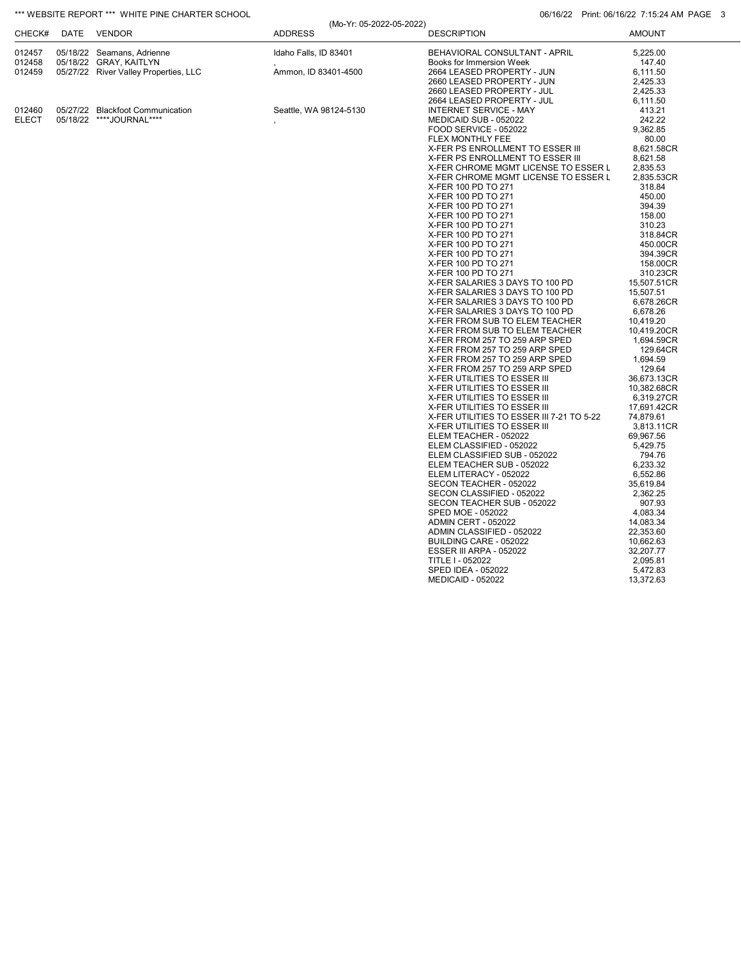## \*\*\* WEBSITE REPORT \*\*\* WHITE PINE CHARTER SCHOOL **CHARTER SCHOOL** 06/16/22 Print: 06/16/22 Print: 06/16/22 7:15:24 AM PAGE 3

|        |          |                                       | (Mo-Yr: 05-2022-05-2022) |                                           |               |
|--------|----------|---------------------------------------|--------------------------|-------------------------------------------|---------------|
| CHECK# | DATE     | VENDOR                                | <b>ADDRESS</b>           | <b>DESCRIPTION</b>                        | <b>AMOUNT</b> |
| 012457 |          | 05/18/22 Seamans, Adrienne            | Idaho Falls, ID 83401    | BEHAVIORAL CONSULTANT - APRIL             | 5,225.00      |
| 012458 |          | 05/18/22 GRAY, KAITLYN                |                          | Books for Immersion Week                  | 147.40        |
| 012459 |          | 05/27/22 River Valley Properties, LLC | Ammon, ID 83401-4500     | 2664 LEASED PROPERTY - JUN                | 6,111.50      |
|        |          |                                       |                          | 2660 LEASED PROPERTY - JUN                | 2,425.33      |
|        |          |                                       |                          | 2660 LEASED PROPERTY - JUL                | 2,425.33      |
|        |          |                                       |                          | 2664 LEASED PROPERTY - JUL                | 6,111.50      |
| 012460 |          | 05/27/22 Blackfoot Communication      | Seattle, WA 98124-5130   | <b>INTERNET SERVICE - MAY</b>             | 413.21        |
| ELECT  | 05/18/22 | ****JOURNAL****                       |                          | MEDICAID SUB - 052022                     | 242.22        |
|        |          |                                       |                          | FOOD SERVICE - 052022                     | 9.362.85      |
|        |          |                                       |                          | <b>FLEX MONTHLY FEE</b>                   | 80.00         |
|        |          |                                       |                          | X-FER PS ENROLLMENT TO ESSER III          | 8,621.58CR    |
|        |          |                                       |                          | X-FER PS ENROLLMENT TO ESSER III          | 8,621.58      |
|        |          |                                       |                          |                                           |               |
|        |          |                                       |                          | X-FER CHROME MGMT LICENSE TO ESSER L      | 2,835.53      |
|        |          |                                       |                          | X-FER CHROME MGMT LICENSE TO ESSER L      | 2,835.53CR    |
|        |          |                                       |                          | X-FER 100 PD TO 271                       | 318.84        |
|        |          |                                       |                          | X-FER 100 PD TO 271                       | 450.00        |
|        |          |                                       |                          | X-FER 100 PD TO 271                       | 394.39        |
|        |          |                                       |                          | X-FER 100 PD TO 271                       | 158.00        |
|        |          |                                       |                          | X-FER 100 PD TO 271                       | 310.23        |
|        |          |                                       |                          | X-FER 100 PD TO 271                       | 318.84CR      |
|        |          |                                       |                          | X-FER 100 PD TO 271                       | 450.00CR      |
|        |          |                                       |                          | X-FER 100 PD TO 271                       | 394.39CR      |
|        |          |                                       |                          | X-FER 100 PD TO 271                       | 158.00CR      |
|        |          |                                       |                          | X-FER 100 PD TO 271                       | 310.23CR      |
|        |          |                                       |                          | X-FER SALARIES 3 DAYS TO 100 PD           | 15,507.51CR   |
|        |          |                                       |                          | X-FER SALARIES 3 DAYS TO 100 PD           | 15.507.51     |
|        |          |                                       |                          | X-FER SALARIES 3 DAYS TO 100 PD           | 6.678.26CR    |
|        |          |                                       |                          | X-FER SALARIES 3 DAYS TO 100 PD           | 6,678.26      |
|        |          |                                       |                          | X-FER FROM SUB TO ELEM TEACHER            | 10,419.20     |
|        |          |                                       |                          | X-FER FROM SUB TO ELEM TEACHER            | 10,419.20CR   |
|        |          |                                       |                          | X-FER FROM 257 TO 259 ARP SPED            | 1,694.59CR    |
|        |          |                                       |                          | X-FER FROM 257 TO 259 ARP SPED            | 129.64CR      |
|        |          |                                       |                          | X-FER FROM 257 TO 259 ARP SPED            | 1,694.59      |
|        |          |                                       |                          | X-FER FROM 257 TO 259 ARP SPED            | 129.64        |
|        |          |                                       |                          | X-FER UTILITIES TO ESSER III              | 36,673.13CR   |
|        |          |                                       |                          | X-FER UTILITIES TO ESSER III              | 10,382.68CR   |
|        |          |                                       |                          | X-FER UTILITIES TO ESSER III              | 6,319.27CR    |
|        |          |                                       |                          | X-FER UTILITIES TO ESSER III              | 17,691.42CR   |
|        |          |                                       |                          | X-FER UTILITIES TO ESSER III 7-21 TO 5-22 | 74,879.61     |
|        |          |                                       |                          | X-FER UTILITIES TO ESSER III              | 3,813.11CR    |
|        |          |                                       |                          | ELEM TEACHER - 052022                     | 69,967.56     |
|        |          |                                       |                          | ELEM CLASSIFIED - 052022                  | 5,429.75      |
|        |          |                                       |                          | ELEM CLASSIFIED SUB - 052022              | 794.76        |
|        |          |                                       |                          | ELEM TEACHER SUB - 052022                 | 6,233.32      |
|        |          |                                       |                          | ELEM LITERACY - 052022                    | 6,552.86      |
|        |          |                                       |                          | SECON TEACHER - 052022                    | 35,619.84     |
|        |          |                                       |                          | SECON CLASSIFIED - 052022                 | 2,362.25      |
|        |          |                                       |                          | SECON TEACHER SUB - 052022                | 907.93        |
|        |          |                                       |                          | SPED MOE - 052022                         | 4,083.34      |
|        |          |                                       |                          | ADMIN CERT - 052022                       | 14,083.34     |
|        |          |                                       |                          | ADMIN CLASSIFIED - 052022                 | 22,353.60     |
|        |          |                                       |                          | BUILDING CARE - 052022                    | 10,662.63     |
|        |          |                                       |                          | ESSER III ARPA - 052022                   | 32,207.77     |
|        |          |                                       |                          | TITLE I - 052022                          | 2,095.81      |
|        |          |                                       |                          | <b>SPED IDEA - 052022</b>                 | 5,472.83      |
|        |          |                                       |                          | <b>MEDICAID - 052022</b>                  | 13,372.63     |
|        |          |                                       |                          |                                           |               |
|        |          |                                       |                          |                                           |               |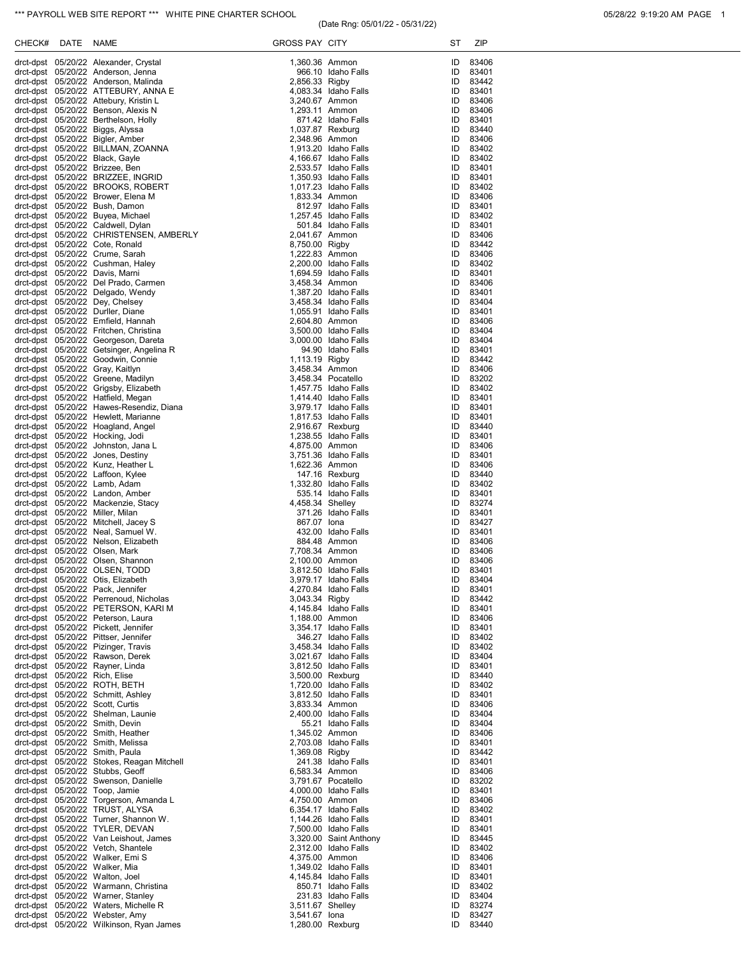## \*\*\* PAYROLL WEB SITE REPORT \*\*\* WHITE PINE CHARTER SCHOOL **CHARTER SCHOOL** 05/28/22 9:19:20 AM PAGE 1

# (Date Rng: 05/01/22 - 05/31/22)

| CHECK# | <b>DATE</b> | <b>NAME</b>                                                                      | <b>GROSS PAY CITY</b>            |                                                | ST       | ZIP               |
|--------|-------------|----------------------------------------------------------------------------------|----------------------------------|------------------------------------------------|----------|-------------------|
|        |             | drct-dpst 05/20/22 Alexander, Crystal                                            | 1,360.36 Ammon                   |                                                | ID       | 83406             |
|        |             | drct-dpst 05/20/22 Anderson, Jenna                                               |                                  | 966.10 Idaho Falls                             | ID       | 83401             |
|        |             | drct-dpst 05/20/22 Anderson, Malinda                                             | 2,856.33 Rigby                   |                                                | ID       | 83442             |
|        |             | drct-dpst 05/20/22 ATTEBURY, ANNA E<br>drct-dpst 05/20/22 Attebury, Kristin L    | 3,240.67 Ammon                   | 4,083.34 Idaho Falls                           | ID<br>ID | 83401<br>83406    |
|        |             | drct-dpst 05/20/22 Benson, Alexis N                                              | 1,293.11 Ammon                   |                                                | ID       | 83406             |
|        |             | drct-dpst 05/20/22 Berthelson, Holly                                             |                                  | 871.42 Idaho Falls                             | ID       | 83401             |
|        |             | drct-dpst 05/20/22 Biggs, Alyssa                                                 | 1,037.87 Rexburg                 |                                                | ID       | 83440             |
|        |             | drct-dpst 05/20/22 Bigler, Amber<br>drct-dpst 05/20/22 BILLMAN, ZOANNA           | 2,348.96 Ammon                   | 1,913.20 Idaho Falls                           | ID<br>ID | 83406<br>83402    |
|        |             | drct-dpst 05/20/22 Black, Gayle                                                  |                                  | 4,166.67 Idaho Falls                           | ID       | 83402             |
|        |             | drct-dpst 05/20/22 Brizzee, Ben                                                  |                                  | 2,533.57 Idaho Falls                           | ID       | 83401             |
|        |             | drct-dpst 05/20/22 BRIZZEE, INGRID                                               |                                  | 1,350.93 Idaho Falls                           | ID       | 83401             |
|        |             | drct-dpst 05/20/22 BROOKS, ROBERT<br>drct-dpst 05/20/22 Brower, Elena M          | 1,833.34 Ammon                   | 1,017.23 Idaho Falls                           | ID<br>ID | 83402<br>83406    |
|        |             | drct-dpst 05/20/22 Bush, Damon                                                   |                                  | 812.97 Idaho Falls                             | ID       | 83401             |
|        |             | drct-dpst 05/20/22 Buyea, Michael                                                |                                  | 1,257.45 Idaho Falls                           | ID       | 83402             |
|        |             | drct-dpst 05/20/22 Caldwell, Dylan                                               |                                  | 501.84 Idaho Falls                             | ID       | 83401             |
|        |             | drct-dpst 05/20/22 CHRISTENSEN, AMBERLY                                          | 2,041.67 Ammon                   |                                                | ID<br>ID | 83406             |
|        |             | drct-dpst 05/20/22 Cote, Ronald<br>drct-dpst 05/20/22 Crume, Sarah               | 8,750.00 Rigby<br>1,222.83 Ammon |                                                | ID       | 83442<br>83406    |
|        |             | drct-dpst 05/20/22 Cushman, Haley                                                |                                  | 2,200.00 Idaho Falls                           | ID       | 83402             |
|        |             | drct-dpst 05/20/22 Davis, Marni                                                  |                                  | 1,694.59 Idaho Falls                           | ID       | 83401             |
|        |             | drct-dpst 05/20/22 Del Prado, Carmen                                             | 3,458.34 Ammon                   |                                                | ID       | 83406             |
|        |             | drct-dpst 05/20/22 Delgado, Wendy<br>drct-dpst 05/20/22 Dey, Chelsey             |                                  | 1,387.20 Idaho Falls<br>3,458.34 Idaho Falls   | ID<br>ID | 83401<br>83404    |
|        |             | drct-dpst 05/20/22 Durller, Diane                                                |                                  | 1,055.91 Idaho Falls                           | ID       | 83401             |
|        |             | drct-dpst 05/20/22 Emfield, Hannah                                               | 2,604.80 Ammon                   |                                                | ID       | 83406             |
|        |             | drct-dpst 05/20/22 Fritchen, Christina                                           |                                  | 3.500.00 Idaho Falls                           | ID       | 83404             |
|        |             | drct-dpst 05/20/22 Georgeson, Dareta<br>drct-dpst 05/20/22 Getsinger, Angelina R |                                  | 3.000.00 Idaho Falls<br>94.90 Idaho Falls      | ID<br>ID | 83404<br>83401    |
|        |             | drct-dpst 05/20/22 Goodwin, Connie                                               | 1,113.19 Rigby                   |                                                | ID       | 83442             |
|        |             | drct-dpst 05/20/22 Gray, Kaitlyn                                                 | 3,458.34 Ammon                   |                                                | ID       | 83406             |
|        |             | drct-dpst 05/20/22 Greene, Madilyn                                               |                                  | 3,458.34 Pocatello                             | ID       | 83202             |
|        |             | drct-dpst 05/20/22 Grigsby, Elizabeth<br>drct-dpst 05/20/22 Hatfield, Megan      |                                  | 1,457.75 Idaho Falls<br>1,414.40 Idaho Falls   | ID<br>ID | 83402<br>83401    |
|        |             | drct-dpst 05/20/22 Hawes-Resendiz, Diana                                         |                                  | 3,979.17 Idaho Falls                           | ID       | 83401             |
|        |             | drct-dpst 05/20/22 Hewlett, Marianne                                             |                                  | 1,817.53 Idaho Falls                           | ID       | 83401             |
|        |             | drct-dpst 05/20/22 Hoagland, Angel                                               | 2,916.67 Rexburg                 |                                                | ID       | 83440             |
|        |             | drct-dpst 05/20/22 Hocking, Jodi                                                 |                                  | 1,238.55 Idaho Falls                           | ID<br>ID | 83401             |
|        |             | drct-dpst 05/20/22 Johnston, Jana L<br>drct-dpst 05/20/22 Jones, Destiny         | 4,875.00 Ammon                   | 3,751.36 Idaho Falls                           | ID       | 83406<br>83401    |
|        |             | drct-dpst 05/20/22 Kunz, Heather L                                               | 1,622.36 Ammon                   |                                                | ID       | 83406             |
|        |             | drct-dpst 05/20/22 Laffoon, Kylee                                                |                                  | 147.16 Rexburg                                 | ID       | 83440             |
|        |             | drct-dpst 05/20/22 Lamb, Adam                                                    |                                  | 1,332.80 Idaho Falls                           | ID       | 83402             |
|        |             | drct-dpst 05/20/22 Landon, Amber<br>drct-dpst 05/20/22 Mackenzie, Stacy          | 4,458.34 Shelley                 | 535.14 Idaho Falls                             | ID<br>ID | 83401<br>83274    |
|        |             | drct-dpst 05/20/22 Miller, Milan                                                 |                                  | 371.26 Idaho Falls                             | ID       | 83401             |
|        |             | drct-dpst 05/20/22 Mitchell, Jacey S                                             | 867.07 Iona                      |                                                | ID       | 83427             |
|        |             | drct-dpst 05/20/22 Neal, Samuel W.                                               |                                  | 432.00 Idaho Falls                             | ID       | 83401             |
|        |             | drct-dpst 05/20/22 Nelson, Elizabeth<br>drct-dpst 05/20/22 Olsen, Mark           | 7,708.34 Ammon                   | 884.48 Ammon                                   | ID<br>ID | 83406<br>83406    |
|        |             | drct-dpst 05/20/22 Olsen, Shannon                                                | 2.100.00 Ammon                   |                                                | ID       | 83406             |
|        |             | drct-dpst 05/20/22 OLSEN, TODD                                                   |                                  | 3,812.50 Idaho Falls                           | ID       | 83401             |
|        |             | drct-dpst 05/20/22 Otis, Elizabeth<br>drct-dpst 05/20/22 Pack, Jennifer          |                                  | 3,979.17 Idaho Falls                           | ID       | 83404             |
|        |             | drct-dpst 05/20/22 Perrenoud, Nicholas                                           | 3,043.34 Rigby                   | 4,270.84 Idaho Falls                           | ID<br>ID | 83401<br>83442    |
|        |             | drct-dpst 05/20/22 PETERSON, KARI M                                              |                                  | 4,145.84 Idaho Falls                           | ID       | 83401             |
|        |             | drct-dpst 05/20/22 Peterson, Laura                                               | 1,188.00 Ammon                   |                                                | ID       | 83406             |
|        |             | drct-dpst 05/20/22 Pickett, Jennifer                                             |                                  | 3,354.17 Idaho Falls                           | ID       | 83401             |
|        |             | drct-dpst 05/20/22 Pittser, Jennifer<br>drct-dpst 05/20/22 Pizinger, Travis      |                                  | 346.27 Idaho Falls<br>3,458.34 Idaho Falls     | ID<br>ID | 83402<br>83402    |
|        |             | drct-dpst 05/20/22 Rawson, Derek                                                 |                                  | 3,021.67 Idaho Falls                           | ID       | 83404             |
|        |             | drct-dpst 05/20/22 Rayner, Linda                                                 |                                  | 3,812.50 Idaho Falls                           | ID       | 83401             |
|        |             | drct-dpst 05/20/22 Rich, Elise<br>drct-dpst 05/20/22 ROTH, BETH                  |                                  | 3,500.00 Rexburg<br>1,720.00 Idaho Falls       | ID<br>ID | 83440<br>83402    |
|        |             | drct-dpst 05/20/22 Schmitt, Ashley                                               |                                  | 3,812.50 Idaho Falls                           | ID       | 83401             |
|        |             | drct-dpst 05/20/22 Scott, Curtis                                                 | 3,833.34 Ammon                   |                                                | ID       | 83406             |
|        |             | drct-dpst 05/20/22 Shelman, Launie                                               |                                  | 2,400.00 Idaho Falls                           | ID       | 83404             |
|        |             | drct-dpst 05/20/22 Smith, Devin                                                  |                                  | 55.21 Idaho Falls                              | ID       | 83404             |
|        |             | drct-dpst 05/20/22 Smith, Heather<br>drct-dpst 05/20/22 Smith, Melissa           | 1,345.02 Ammon                   | 2,703.08 Idaho Falls                           | ID       | ID 83406<br>83401 |
|        |             | drct-dpst 05/20/22 Smith, Paula                                                  | 1,369.08 Rigby                   |                                                | ID       | 83442             |
|        |             | drct-dpst 05/20/22 Stokes, Reagan Mitchell                                       |                                  | 241.38 Idaho Falls                             |          | ID 83401          |
|        |             | drct-dpst 05/20/22 Stubbs, Geoff                                                 | 6,583.34 Ammon                   |                                                | ID       | 83406             |
|        |             | drct-dpst 05/20/22 Swenson, Danielle<br>drct-dpst 05/20/22 Toop, Jamie           |                                  | 3,791.67 Pocatello<br>4,000.00 Idaho Falls     | ID       | 83202<br>ID 83401 |
|        |             | drct-dpst 05/20/22 Torgerson, Amanda L                                           | 4,750.00 Ammon                   |                                                | ID       | 83406             |
|        |             | drct-dpst 05/20/22 TRUST, ALYSA                                                  |                                  | 6,354.17 Idaho Falls                           | ID       | 83402             |
|        |             | drct-dpst 05/20/22 Turner, Shannon W.                                            |                                  | 1,144.26 Idaho Falls                           | ID       | 83401             |
|        |             | drct-dpst 05/20/22 TYLER, DEVAN<br>drct-dpst 05/20/22 Van Leishout, James        |                                  | 7,500.00 Idaho Falls<br>3,320.00 Saint Anthony | ID<br>ID | 83401<br>83445    |
|        |             | drct-dpst 05/20/22 Vetch, Shantele                                               |                                  | 2,312.00 Idaho Falls                           | ID       | 83402             |
|        |             | drct-dpst 05/20/22 Walker, Emi S                                                 | 4,375.00 Ammon                   |                                                | ID       | 83406             |
|        |             | drct-dpst 05/20/22 Walker, Mia                                                   |                                  | 1,349.02 Idaho Falls                           | ID       | 83401             |
|        |             | drct-dpst 05/20/22 Walton, Joel<br>drct-dpst 05/20/22 Warmann, Christina         |                                  | 4,145.84 Idaho Falls<br>850.71 Idaho Falls     | ID<br>ID | 83401<br>83402    |
|        |             | drct-dpst 05/20/22 Warner, Stanley                                               |                                  | 231.83 Idaho Falls                             | ID       | 83404             |
|        |             | drct-dpst 05/20/22 Waters, Michelle R                                            | 3,511.67 Shelley                 |                                                | ID       | 83274             |
|        |             | drct-dpst 05/20/22 Webster, Amy                                                  | 3,541.67 lona                    |                                                | ID       | 83427             |
|        |             | drct-dpst 05/20/22 Wilkinson, Ryan James                                         |                                  | 1,280.00 Rexburg                               | ID       | 83440             |